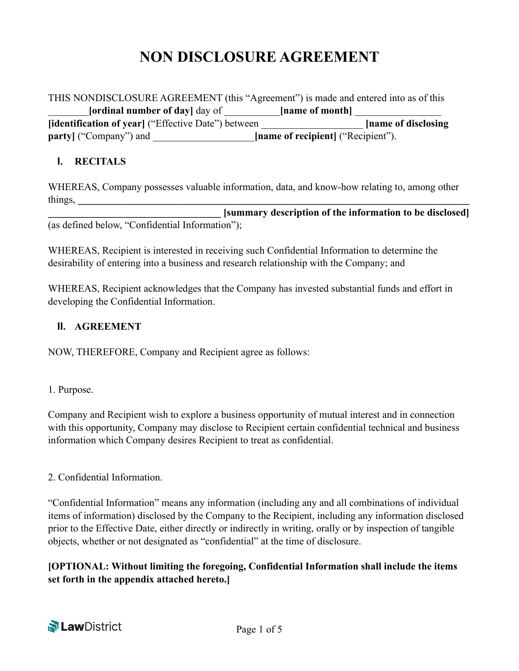# **NON DISCLOSURE AGREEMENT**

THIS NONDISCLOSURE AGREEMENT (this "Agreement") is made and entered into as of this \_\_\_\_\_\_\_\_**[ordinal number of day]** day of \_\_\_\_\_\_\_\_\_\_\_**[name of month]** \_\_\_\_\_\_\_\_\_\_\_\_\_\_\_\_\_ **[identification of year]** ("Effective Date") between \_\_\_\_\_\_\_\_\_\_\_\_\_\_\_\_\_\_\_\_ **[name of disclosing party**] ("Company") and **the latter of recipient** ("Recipient").

#### **I. RECITALS**

WHEREAS, Company possesses valuable information, data, and know-how relating to, among other  $\frac{1}{2}$  things,

**\_\_\_\_\_\_\_\_\_\_\_\_\_\_\_\_\_\_\_\_\_\_\_\_\_\_\_\_\_\_\_\_\_\_ [summary description of the information to be disclosed]** (as defined below, "Confidential Information");

WHEREAS, Recipient is interested in receiving such Confidential Information to determine the desirability of entering into a business and research relationship with the Company; and

WHEREAS, Recipient acknowledges that the Company has invested substantial funds and effort in developing the Confidential Information.

#### **II. AGREEMENT**

NOW, THEREFORE, Company and Recipient agree as follows:

1. Purpose.

Company and Recipient wish to explore a business opportunity of mutual interest and in connection with this opportunity, Company may disclose to Recipient certain confidential technical and business information which Company desires Recipient to treat as confidential.

#### 2. Confidential Information.

"Confidential Information" means any information (including any and all combinations of individual items of information) disclosed by the Company to the Recipient, including any information disclosed prior to the Effective Date, either directly or indirectly in writing, orally or by inspection of tangible objects, whether or not designated as "confidential" at the time of disclosure.

**[OPTIONAL: Without limiting the foregoing, Confidential Information shall include the items set forth in the appendix attached hereto.]** 

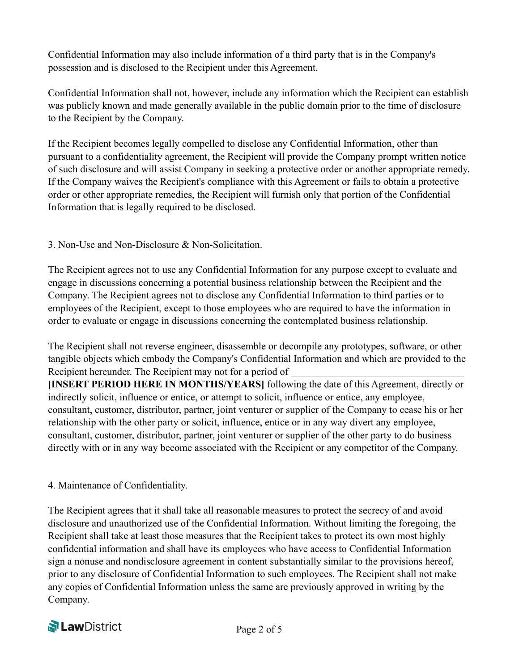Confidential Information may also include information of a third party that is in the Company's possession and is disclosed to the Recipient under this Agreement.

Confidential Information shall not, however, include any information which the Recipient can establish was publicly known and made generally available in the public domain prior to the time of disclosure to the Recipient by the Company.

If the Recipient becomes legally compelled to disclose any Confidential Information, other than pursuant to a confidentiality agreement, the Recipient will provide the Company prompt written notice of such disclosure and will assist Company in seeking a protective order or another appropriate remedy. If the Company waives the Recipient's compliance with this Agreement or fails to obtain a protective order or other appropriate remedies, the Recipient will furnish only that portion of the Confidential Information that is legally required to be disclosed.

3. Non-Use and Non-Disclosure & Non-Solicitation.

The Recipient agrees not to use any Confidential Information for any purpose except to evaluate and engage in discussions concerning a potential business relationship between the Recipient and the Company. The Recipient agrees not to disclose any Confidential Information to third parties or to employees of the Recipient, except to those employees who are required to have the information in order to evaluate or engage in discussions concerning the contemplated business relationship.

The Recipient shall not reverse engineer, disassemble or decompile any prototypes, software, or other tangible objects which embody the Company's Confidential Information and which are provided to the Recipient hereunder. The Recipient may not for a period of

**[INSERT PERIOD HERE IN MONTHS/YEARS]** following the date of this Agreement, directly or indirectly solicit, influence or entice, or attempt to solicit, influence or entice, any employee, consultant, customer, distributor, partner, joint venturer or supplier of the Company to cease his or her relationship with the other party or solicit, influence, entice or in any way divert any employee, consultant, customer, distributor, partner, joint venturer or supplier of the other party to do business directly with or in any way become associated with the Recipient or any competitor of the Company.

4. Maintenance of Confidentiality.

The Recipient agrees that it shall take all reasonable measures to protect the secrecy of and avoid disclosure and unauthorized use of the Confidential Information. Without limiting the foregoing, the Recipient shall take at least those measures that the Recipient takes to protect its own most highly confidential information and shall have its employees who have access to Confidential Information sign a nonuse and nondisclosure agreement in content substantially similar to the provisions hereof, prior to any disclosure of Confidential Information to such employees. The Recipient shall not make any copies of Confidential Information unless the same are previously approved in writing by the Company.

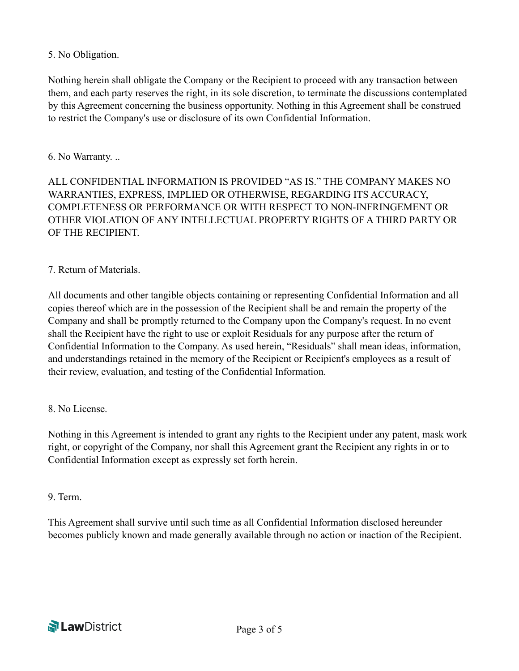## 5. No Obligation.

Nothing herein shall obligate the Company or the Recipient to proceed with any transaction between them, and each party reserves the right, in its sole discretion, to terminate the discussions contemplated by this Agreement concerning the business opportunity. Nothing in this Agreement shall be construed to restrict the Company's use or disclosure of its own Confidential Information.

## 6. No Warranty. ..

ALL CONFIDENTIAL INFORMATION IS PROVIDED "AS IS." THE COMPANY MAKES NO WARRANTIES, EXPRESS, IMPLIED OR OTHERWISE, REGARDING ITS ACCURACY, COMPLETENESS OR PERFORMANCE OR WITH RESPECT TO NON-INFRINGEMENT OR OTHER VIOLATION OF ANY INTELLECTUAL PROPERTY RIGHTS OF A THIRD PARTY OR OF THE RECIPIENT.

## 7. Return of Materials.

All documents and other tangible objects containing or representing Confidential Information and all copies thereof which are in the possession of the Recipient shall be and remain the property of the Company and shall be promptly returned to the Company upon the Company's request. In no event shall the Recipient have the right to use or exploit Residuals for any purpose after the return of Confidential Information to the Company. As used herein, "Residuals" shall mean ideas, information, and understandings retained in the memory of the Recipient or Recipient's employees as a result of their review, evaluation, and testing of the Confidential Information.

#### 8. No License.

Nothing in this Agreement is intended to grant any rights to the Recipient under any patent, mask work right, or copyright of the Company, nor shall this Agreement grant the Recipient any rights in or to Confidential Information except as expressly set forth herein.

#### 9. Term.

This Agreement shall survive until such time as all Confidential Information disclosed hereunder becomes publicly known and made generally available through no action or inaction of the Recipient.

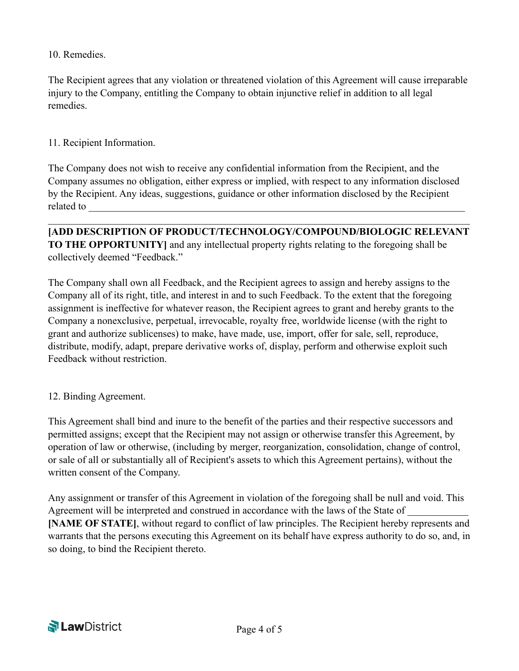10. Remedies.

The Recipient agrees that any violation or threatened violation of this Agreement will cause irreparable injury to the Company, entitling the Company to obtain injunctive relief in addition to all legal remedies.

## 11. Recipient Information.

The Company does not wish to receive any confidential information from the Recipient, and the Company assumes no obligation, either express or implied, with respect to any information disclosed by the Recipient. Any ideas, suggestions, guidance or other information disclosed by the Recipient related to

**[ADD DESCRIPTION OF PRODUCT/TECHNOLOGY/COMPOUND/BIOLOGIC RELEVANT TO THE OPPORTUNITY]** and any intellectual property rights relating to the foregoing shall be collectively deemed "Feedback."

 $\mathcal{L}_\mathcal{L} = \{ \mathcal{L}_\mathcal{L} = \{ \mathcal{L}_\mathcal{L} = \{ \mathcal{L}_\mathcal{L} = \{ \mathcal{L}_\mathcal{L} = \{ \mathcal{L}_\mathcal{L} = \{ \mathcal{L}_\mathcal{L} = \{ \mathcal{L}_\mathcal{L} = \{ \mathcal{L}_\mathcal{L} = \{ \mathcal{L}_\mathcal{L} = \{ \mathcal{L}_\mathcal{L} = \{ \mathcal{L}_\mathcal{L} = \{ \mathcal{L}_\mathcal{L} = \{ \mathcal{L}_\mathcal{L} = \{ \mathcal{L}_\mathcal{$ 

The Company shall own all Feedback, and the Recipient agrees to assign and hereby assigns to the Company all of its right, title, and interest in and to such Feedback. To the extent that the foregoing assignment is ineffective for whatever reason, the Recipient agrees to grant and hereby grants to the Company a nonexclusive, perpetual, irrevocable, royalty free, worldwide license (with the right to grant and authorize sublicenses) to make, have made, use, import, offer for sale, sell, reproduce, distribute, modify, adapt, prepare derivative works of, display, perform and otherwise exploit such Feedback without restriction.

#### 12. Binding Agreement.

This Agreement shall bind and inure to the benefit of the parties and their respective successors and permitted assigns; except that the Recipient may not assign or otherwise transfer this Agreement, by operation of law or otherwise, (including by merger, reorganization, consolidation, change of control, or sale of all or substantially all of Recipient's assets to which this Agreement pertains), without the written consent of the Company.

Any assignment or transfer of this Agreement in violation of the foregoing shall be null and void. This Agreement will be interpreted and construed in accordance with the laws of the State of **[NAME OF STATE]**, without regard to conflict of law principles. The Recipient hereby represents and warrants that the persons executing this Agreement on its behalf have express authority to do so, and, in so doing, to bind the Recipient thereto.